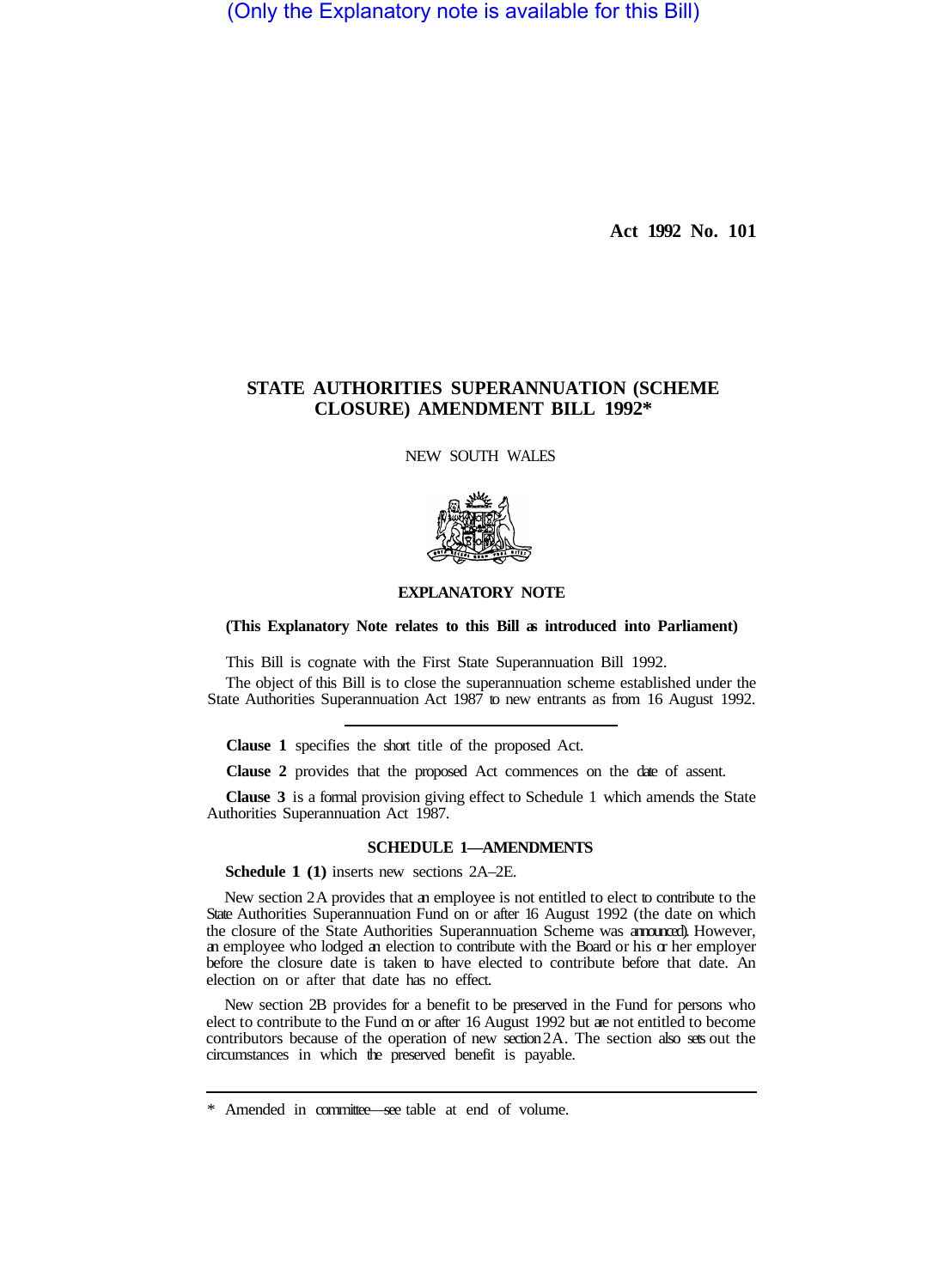(Only the Explanatory note is available for this Bill)

**Act 1992 No. 101** 

## **STATE AUTHORITIES SUPERANNUATION (SCHEME CLOSURE) AMENDMENT BILL 1992\***

NEW SOUTH WALES



## **EXPLANATORY NOTE**

## **(This Explanatory Note relates to this Bill as introduced into Parliament)**

This Bill is cognate with the First State Superannuation Bill 1992.

The object of this Bill is to close the superannuation scheme established under the State Authorities Superannuation Act 1987 to new entrants as from 16 August 1992.

**Clause 1** specifies the short title of the proposed Act.

**Clause 2** provides that the proposed Act commences on the date of assent.

**Clause 3** is a formal provision giving effect to Schedule 1 which amends the State Authorities Superannuation Act 1987.

## **SCHEDULE 1—AMENDMENTS**

**Schedule 1 (1)** inserts new sections 2A–2E.

New section 2A provides that an employee is not entitled to elect to contribute to the State Authorities Superannuation Fund on or after 16 August 1992 (the date on which the closure of the State Authorities Superannuation Scheme was announced). However, an employee who lodged an election to contribute with the Board or his or her employer before the closure date is taken to have elected to contribute before that date. An election on or after that date has no effect.

New section 2B provides for a benefit to be preserved in the Fund for persons who elect to contribute to the Fund on or after 16 August 1992 but are not entitled to become contributors because of the operation of new section 2A. The section also sets out the circumstances in which the preserved benefit is payable.

<sup>\*</sup> Amended in committee—see table at end of volume.